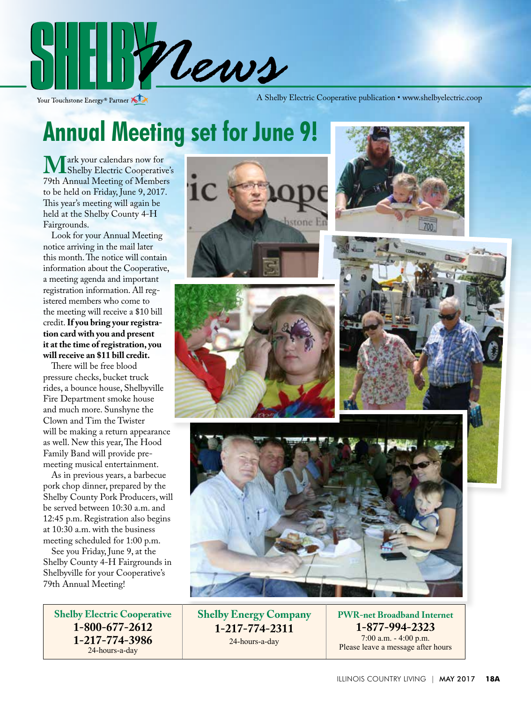

Your Touchstone Energy® Partner

A Shelby Electric Cooperative publication • www.shelbyelectric.coop

### **Annual Meeting set for June 9!**

**Mark your calendars now for<br>The Annual Meeting of Members<br>The Annual Meeting of Members** 79th Annual Meeting of Members to be held on Friday, June 9, 2017. This year's meeting will again be held at the Shelby County 4-H Fairgrounds.

 Look for your Annual Meeting notice arriving in the mail later this month. The notice will contain information about the Cooperative, a meeting agenda and important registration information. All registered members who come to the meeting will receive a \$10 bill credit. **If you bring your registration card with you and present it at the time of registration, you will receive an \$11 bill credit.**

 There will be free blood pressure checks, bucket truck rides, a bounce house, Shelbyville Fire Department smoke house and much more. Sunshyne the Clown and Tim the Twister will be making a return appearance as well. New this year, The Hood Family Band will provide premeeting musical entertainment.

 As in previous years, a barbecue pork chop dinner, prepared by the Shelby County Pork Producers, will be served between 10:30 a.m. and 12:45 p.m. Registration also begins at 10:30 a.m. with the business meeting scheduled for 1:00 p.m.

 See you Friday, June 9, at the Shelby County 4-H Fairgrounds in Shelbyville for your Cooperative's 79th Annual Meeting!

**Shelby Electric Cooperative 1-800-677-2612 1-217-774-3986** 24-hours-a-day











**Shelby Energy Company 1-217-774-2311** 24-hours-a-day

**PWR-net Broadband Internet 1-877-994-2323** 7:00 a.m. - 4:00 p.m. Please leave a message after hours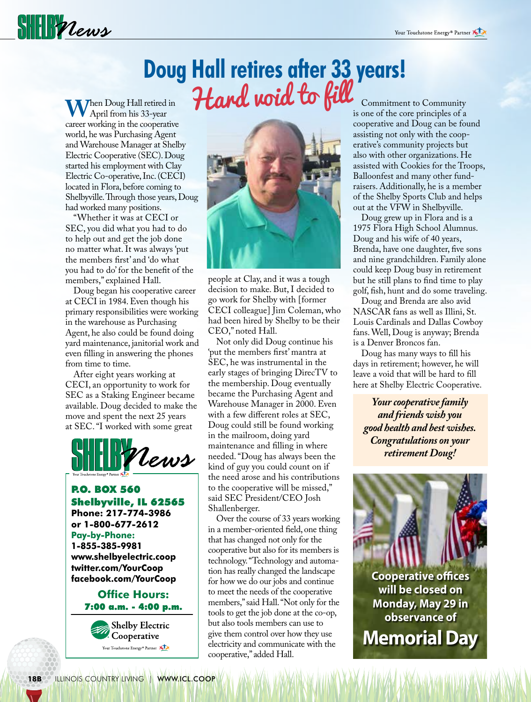# $\frac{1}{2}$

#### **Doug Hall retires after 33 years!** Hard void to fill

**W**hen Doug Hall retired in April from his 33-year career working in the cooperative world, he was Purchasing Agent and Warehouse Manager at Shelby Electric Cooperative (SEC). Doug started his employment with Clay Electric Co-operative, Inc. (CECI) located in Flora, before coming to Shelbyville. Through those years, Doug had worked many positions.

 "Whether it was at CECI or SEC, you did what you had to do to help out and get the job done no matter what. It was always 'put the members first' and 'do what you had to do' for the benefit of the members," explained Hall.

 Doug began his cooperative career at CECI in 1984. Even though his primary responsibilities were working in the warehouse as Purchasing Agent, he also could be found doing yard maintenance, janitorial work and even filling in answering the phones from time to time.

 After eight years working at CECI, an opportunity to work for SEC as a Staking Engineer became available. Doug decided to make the move and spent the next 25 years at SEC. "I worked with some great



P.O. BOX 560 Shelbyville, IL 62565 **Phone: 217-774-3986 or 1-800-677-2612 Pay-by-Phone: 1-855-385-9981 www.shelbyelectric.coop twitter.com/YourCoop facebook.com/YourCoop**

#### **Office Hours:** 7:00 a.m. - 4:00 p.m.



people at Clay, and it was a tough decision to make. But, I decided to go work for Shelby with [former CECI colleague] Jim Coleman, who had been hired by Shelby to be their CEO," noted Hall.

 Not only did Doug continue his 'put the members first' mantra at SEC, he was instrumental in the early stages of bringing DirecTV to the membership. Doug eventually became the Purchasing Agent and Warehouse Manager in 2000. Even with a few different roles at SEC, Doug could still be found working in the mailroom, doing yard maintenance and filling in where needed. "Doug has always been the kind of guy you could count on if the need arose and his contributions to the cooperative will be missed," said SEC President/CEO Josh Shallenberger.

 Over the course of 33 years working in a member-oriented field, one thing that has changed not only for the cooperative but also for its members is technology. "Technology and automation has really changed the landscape for how we do our jobs and continue to meet the needs of the cooperative members," said Hall. "Not only for the tools to get the job done at the co-op, but also tools members can use to give them control over how they use electricity and communicate with the cooperative," added Hall.

 Commitment to Community is one of the core principles of a cooperative and Doug can be found assisting not only with the cooperative's community projects but also with other organizations. He assisted with Cookies for the Troops, Balloonfest and many other fundraisers. Additionally, he is a member of the Shelby Sports Club and helps out at the VFW in Shelbyville.

 Doug grew up in Flora and is a 1975 Flora High School Alumnus. Doug and his wife of 40 years, Brenda, have one daughter, five sons and nine grandchildren. Family alone could keep Doug busy in retirement but he still plans to find time to play golf, fish, hunt and do some traveling.

 Doug and Brenda are also avid NASCAR fans as well as Illini, St. Louis Cardinals and Dallas Cowboy fans. Well, Doug is anyway; Brenda is a Denver Broncos fan.

 Doug has many ways to fill his days in retirement; however, he will leave a void that will be hard to fill here at Shelby Electric Cooperative.

*Your cooperative family and friends wish you good health and best wishes. Congratulations on your retirement Doug!*



**Cooperative offices will be closed on Monday, May 29 in observance of**

**Memorial Day**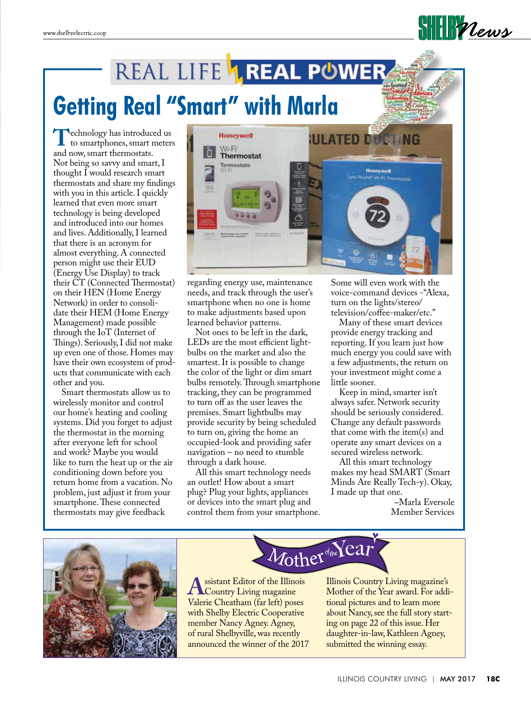# REAL LIFE **AREAL POWER**

### **Getting Real "Smart" with Marla**

**T**echnology has introduced us<br>to smartphones, smart meters<br>and now smart thermostats. and now, smart thermostats. Not being so savvy and smart, I thought I would research smart thermostats and share my findings with you in this article. I quickly learned that even more smart technology is being developed and introduced into our homes and lives. Additionally, I learned that there is an acronym for almost everything. A connected person might use their EUD (Energy Use Display) to track their CT (Connected Thermostat) on their HEN (Home Energy Network) in order to consolidate their HEM (Home Energy Management) made possible through the IoT (Internet of Things). Seriously, I did not make up even one of those. Homes may have their own ecosystem of products that communicate with each other and you.

 Smart thermostats allow us to wirelessly monitor and control our home's heating and cooling systems. Did you forget to adjust the thermostat in the morning after everyone left for school and work? Maybe you would like to turn the heat up or the air conditioning down before you return home from a vacation. No problem, just adjust it from your smartphone. These connected thermostats may give feedback



regarding energy use, maintenance needs, and track through the user's smartphone when no one is home to make adjustments based upon learned behavior patterns.

 Not ones to be left in the dark, LEDs are the most efficient lightbulbs on the market and also the smartest. It is possible to change the color of the light or dim smart bulbs remotely. Through smartphone tracking, they can be programmed to turn off as the user leaves the premises. Smart lightbulbs may provide security by being scheduled to turn on, giving the home an occupied-look and providing safer navigation – no need to stumble through a dark house.

 All this smart technology needs an outlet! How about a smart plug? Plug your lights, appliances or devices into the smart plug and control them from your smartphone.

Some will even work with the voice-command devices -"Alexa, turn on the lights/stereo/ television/coffee-maker/etc."

 $\|\|$  *Mews* 

 Many of these smart devices provide energy tracking and reporting. If you learn just how much energy you could save with a few adjustments, the return on your investment might come a little sooner.

 Keep in mind, smarter isn't always safer. Network security should be seriously considered. Change any default passwords that come with the item(s) and operate any smart devices on a secured wireless network.

 All this smart technology makes my head SMART (Smart Minds Are Really Tech-y). Okay, I made up that one.

~Marla Eversole Member Services



Mother of the Year

**A** ssistant Editor of the Illinois<br>Country Living magazine<br>Valerie Cheatham (far left) poses Valerie Cheatham (far left) poses with Shelby Electric Cooperative member Nancy Agney. Agney, of rural Shelbyville, was recently announced the winner of the 2017



tional pictures and to learn more about Nancy, see the full story starting on page 22 of this issue. Her daughter-in-law, Kathleen Agney, submitted the winning essay.